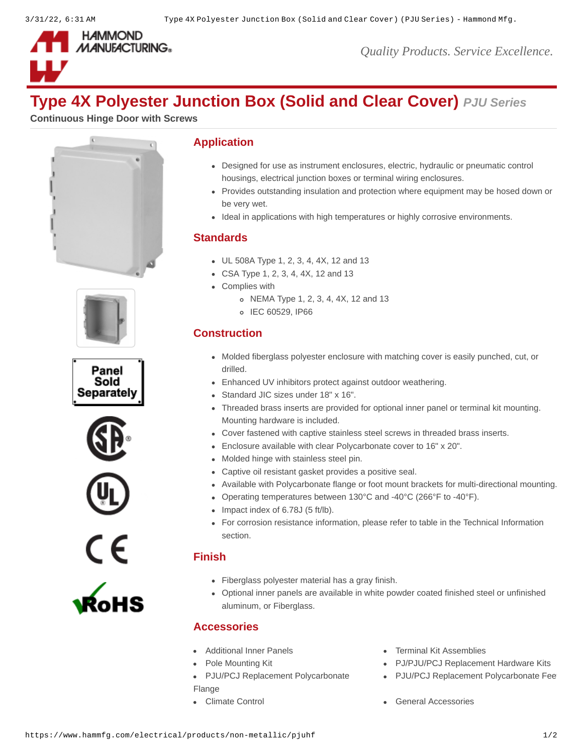

*Quality Products. Service Excellence.*

# **Type 4X Polyester Junction Box (Solid and Clear Cover)** *PJU Series*

**Continuous Hinge Door with Screws**













#### **Application**

- Designed for use as instrument enclosures, electric, hydraulic or pneumatic control housings, electrical junction boxes or terminal wiring enclosures.
- Provides outstanding insulation and protection where equipment may be hosed down or be very wet.
- Ideal in applications with high temperatures or highly corrosive environments.

# **Standards**

- UL 508A Type 1, 2, 3, 4, 4X, 12 and 13
- CSA Type 1, 2, 3, 4, 4X, 12 and 13
- Complies with
	- NEMA Type 1, 2, 3, 4, 4X, 12 and 13
	- o IEC 60529, IP66

# **Construction**

- Molded fiberglass polyester enclosure with matching cover is easily punched, cut, or drilled.
- Enhanced UV inhibitors protect against outdoor weathering.
- Standard JIC sizes under 18" x 16".
- Threaded brass inserts are provided for optional inner panel or terminal kit mounting. Mounting hardware is included.
- Cover fastened with captive stainless steel screws in threaded brass inserts.
- Enclosure available with clear Polycarbonate cover to 16" x 20".
- Molded hinge with stainless steel pin.
- Captive oil resistant gasket provides a positive seal.
- Available with Polycarbonate flange or foot mount brackets for multi-directional mounting.
- Operating temperatures between 130°C and -40°C (266°F to -40°F).
- $\bullet$  Impact index of 6.78J (5 ft/lb).
- For corrosion resistance information, please refer to table in the Technical Information section.

# **Finish**

- Fiberglass polyester material has a gray finish.
- Optional inner panels are available in white powder coated finished steel or unfinished aluminum, or Fiberglass.

# **Accessories**

- 
- 
- [PJU/PCJ Replacement Polycarbonate](https://www.hammfg.com/electrical/products/accessories/pjf?referer=131&itm_type=accessory) Flange
- 
- [Additional Inner Panels](https://www.hammfg.com/electrical/products/accessories/14p?referer=131&itm_type=accessory) **[Terminal Kit Assemblies](https://www.hammfg.com/electrical/products/accessories/14tk?referer=131&itm_type=accessory)** 
	- [Pole Mounting Kit](https://www.hammfg.com/electrical/products/accessories/pjpmk?referer=131&itm_type=accessory) **PU/PJU/PCJ Replacement Hardware Kits** 
		- PJU/PCJ Replacement Polycarbonate Fee
	- [Climate Control](https://www.hammfg.com/electrical/products/climate?referer=131&itm_type=accessory) Climate Control Climate Control Climate Control